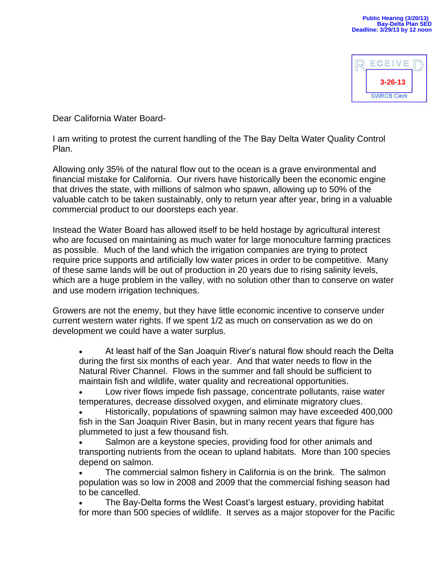

Dear California Water Board-

I am writing to protest the current handling of the The Bay Delta Water Quality Control Plan.

Allowing only 35% of the natural flow out to the ocean is a grave environmental and financial mistake for California. Our rivers have historically been the economic engine that drives the state, with millions of salmon who spawn, allowing up to 50% of the valuable catch to be taken sustainably, only to return year after year, bring in a valuable commercial product to our doorsteps each year.

Instead the Water Board has allowed itself to be held hostage by agricultural interest who are focused on maintaining as much water for large monoculture farming practices as possible. Much of the land which the irrigation companies are trying to protect require price supports and artificially low water prices in order to be competitive. Many of these same lands will be out of production in 20 years due to rising salinity levels, which are a huge problem in the valley, with no solution other than to conserve on water and use modern irrigation techniques.

Growers are not the enemy, but they have little economic incentive to conserve under current western water rights. If we spent 1/2 as much on conservation as we do on development we could have a water surplus.

 At least half of the San Joaquin River's natural flow should reach the Delta during the first six months of each year. And that water needs to flow in the Natural River Channel. Flows in the summer and fall should be sufficient to maintain fish and wildlife, water quality and recreational opportunities.

 Low river flows impede fish passage, concentrate pollutants, raise water temperatures, decrease dissolved oxygen, and eliminate migratory clues.

 Historically, populations of spawning salmon may have exceeded 400,000 fish in the San Joaquin River Basin, but in many recent years that figure has plummeted to just a few thousand fish.

 Salmon are a keystone species, providing food for other animals and transporting nutrients from the ocean to upland habitats. More than 100 species depend on salmon.

 The commercial salmon fishery in California is on the brink. The salmon population was so low in 2008 and 2009 that the commercial fishing season had to be cancelled.

 The Bay-Delta forms the West Coast's largest estuary, providing habitat for more than 500 species of wildlife. It serves as a major stopover for the Pacific